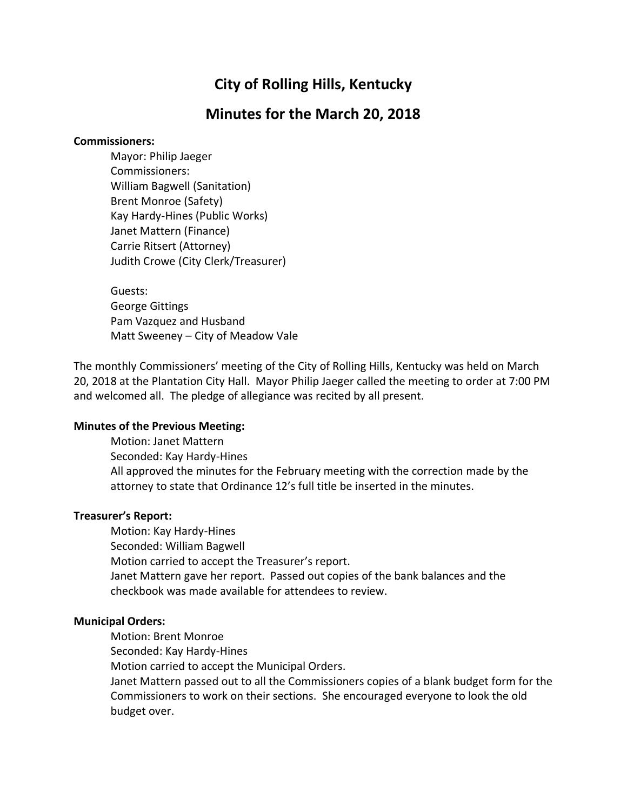# **City of Rolling Hills, Kentucky**

## **Minutes for the March 20, 2018**

## **Commissioners:**

Mayor: Philip Jaeger Commissioners: William Bagwell (Sanitation) Brent Monroe (Safety) Kay Hardy-Hines (Public Works) Janet Mattern (Finance) Carrie Ritsert (Attorney) Judith Crowe (City Clerk/Treasurer)

Guests: George Gittings Pam Vazquez and Husband Matt Sweeney – City of Meadow Vale

The monthly Commissioners' meeting of the City of Rolling Hills, Kentucky was held on March 20, 2018 at the Plantation City Hall. Mayor Philip Jaeger called the meeting to order at 7:00 PM and welcomed all. The pledge of allegiance was recited by all present.

## **Minutes of the Previous Meeting:**

Motion: Janet Mattern Seconded: Kay Hardy-Hines All approved the minutes for the February meeting with the correction made by the attorney to state that Ordinance 12's full title be inserted in the minutes.

## **Treasurer's Report:**

Motion: Kay Hardy-Hines Seconded: William Bagwell Motion carried to accept the Treasurer's report. Janet Mattern gave her report. Passed out copies of the bank balances and the checkbook was made available for attendees to review.

#### **Municipal Orders:**

Motion: Brent Monroe

Seconded: Kay Hardy-Hines

Motion carried to accept the Municipal Orders.

Janet Mattern passed out to all the Commissioners copies of a blank budget form for the Commissioners to work on their sections. She encouraged everyone to look the old budget over.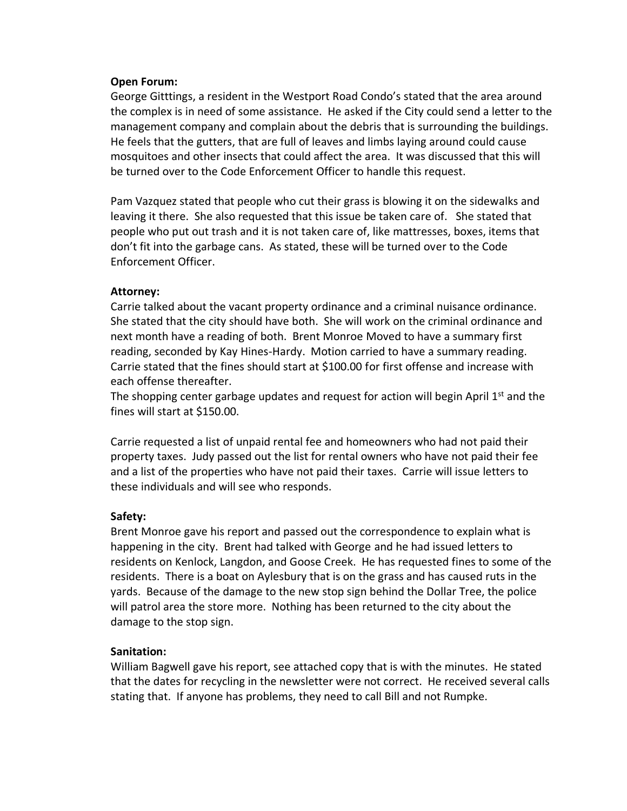#### **Open Forum:**

George Gitttings, a resident in the Westport Road Condo's stated that the area around the complex is in need of some assistance. He asked if the City could send a letter to the management company and complain about the debris that is surrounding the buildings. He feels that the gutters, that are full of leaves and limbs laying around could cause mosquitoes and other insects that could affect the area. It was discussed that this will be turned over to the Code Enforcement Officer to handle this request.

Pam Vazquez stated that people who cut their grass is blowing it on the sidewalks and leaving it there. She also requested that this issue be taken care of. She stated that people who put out trash and it is not taken care of, like mattresses, boxes, items that don't fit into the garbage cans. As stated, these will be turned over to the Code Enforcement Officer.

#### **Attorney:**

Carrie talked about the vacant property ordinance and a criminal nuisance ordinance. She stated that the city should have both. She will work on the criminal ordinance and next month have a reading of both. Brent Monroe Moved to have a summary first reading, seconded by Kay Hines-Hardy. Motion carried to have a summary reading. Carrie stated that the fines should start at \$100.00 for first offense and increase with each offense thereafter.

The shopping center garbage updates and request for action will begin April 1<sup>st</sup> and the fines will start at \$150.00.

Carrie requested a list of unpaid rental fee and homeowners who had not paid their property taxes. Judy passed out the list for rental owners who have not paid their fee and a list of the properties who have not paid their taxes. Carrie will issue letters to these individuals and will see who responds.

## **Safety:**

Brent Monroe gave his report and passed out the correspondence to explain what is happening in the city. Brent had talked with George and he had issued letters to residents on Kenlock, Langdon, and Goose Creek. He has requested fines to some of the residents. There is a boat on Aylesbury that is on the grass and has caused ruts in the yards. Because of the damage to the new stop sign behind the Dollar Tree, the police will patrol area the store more. Nothing has been returned to the city about the damage to the stop sign.

## **Sanitation:**

William Bagwell gave his report, see attached copy that is with the minutes. He stated that the dates for recycling in the newsletter were not correct. He received several calls stating that. If anyone has problems, they need to call Bill and not Rumpke.